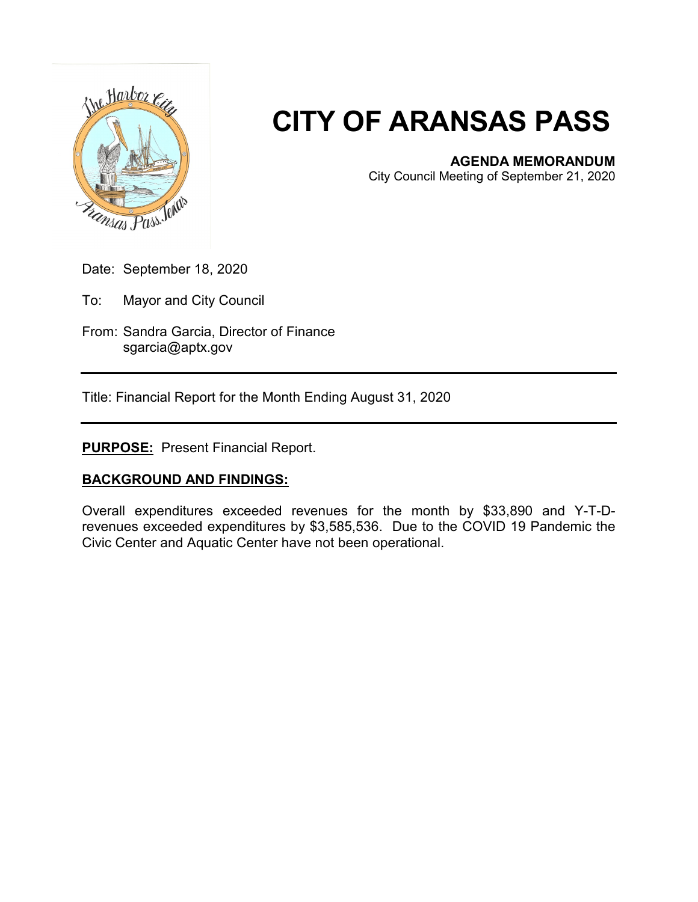

# **CITY OF ARANSAS PASS**

## **AGENDA MEMORANDUM**

City Council Meeting of September 21, 2020

- Date: September 18, 2020
- To: Mayor and City Council
- From: Sandra Garcia, Director of Finance sgarcia@aptx.gov

Title: Financial Report for the Month Ending August 31, 2020

# **PURPOSE:** Present Financial Report.

## **BACKGROUND AND FINDINGS:**

Overall expenditures exceeded revenues for the month by \$33,890 and Y-T-Drevenues exceeded expenditures by \$3,585,536. Due to the COVID 19 Pandemic the Civic Center and Aquatic Center have not been operational.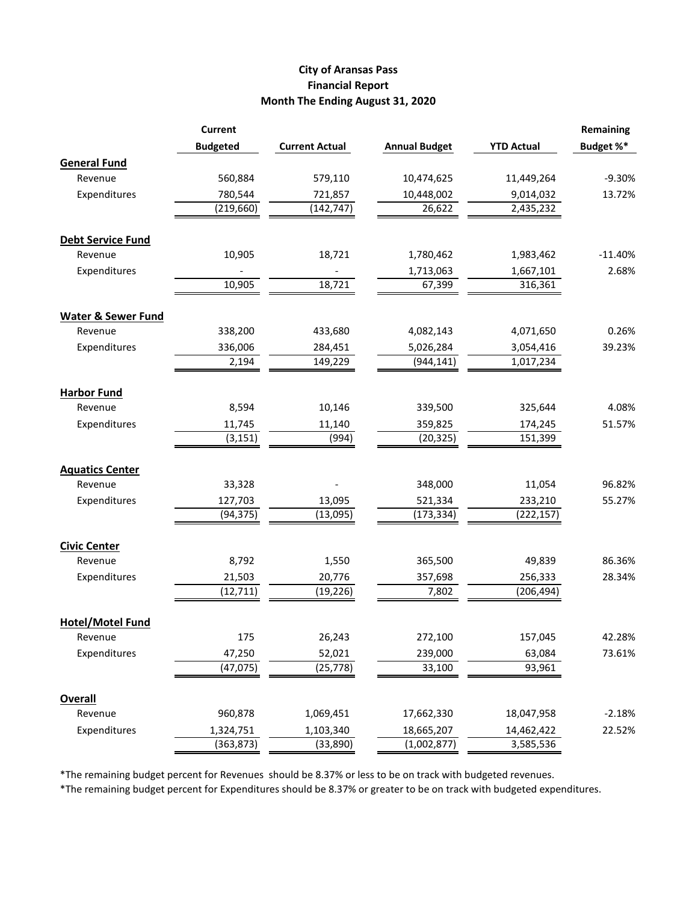#### **City of Aransas Pass Financial Report Month The Ending August 31, 2020**

|                               | <b>Current</b>  |                       |                      |                   | Remaining |
|-------------------------------|-----------------|-----------------------|----------------------|-------------------|-----------|
|                               | <b>Budgeted</b> | <b>Current Actual</b> | <b>Annual Budget</b> | <b>YTD Actual</b> | Budget %* |
| <b>General Fund</b>           |                 |                       |                      |                   |           |
| Revenue                       | 560,884         | 579,110               | 10,474,625           | 11,449,264        | $-9.30%$  |
| Expenditures                  | 780,544         | 721,857               | 10,448,002           | 9,014,032         | 13.72%    |
|                               | (219, 660)      | (142, 747)            | 26,622               | 2,435,232         |           |
|                               |                 |                       |                      |                   |           |
| <b>Debt Service Fund</b>      |                 |                       |                      |                   |           |
| Revenue                       | 10,905          | 18,721                | 1,780,462            | 1,983,462         | $-11.40%$ |
| Expenditures                  |                 |                       | 1,713,063            | 1,667,101         | 2.68%     |
|                               | 10,905          | 18,721                | 67,399               | 316,361           |           |
| <b>Water &amp; Sewer Fund</b> |                 |                       |                      |                   |           |
| Revenue                       | 338,200         | 433,680               | 4,082,143            | 4,071,650         | 0.26%     |
| Expenditures                  | 336,006         | 284,451               | 5,026,284            | 3,054,416         | 39.23%    |
|                               | 2,194           | 149,229               | (944, 141)           | 1,017,234         |           |
|                               |                 |                       |                      |                   |           |
| <b>Harbor Fund</b>            |                 |                       |                      |                   |           |
| Revenue                       | 8,594           | 10,146                | 339,500              | 325,644           | 4.08%     |
| Expenditures                  | 11,745          | 11,140                | 359,825              | 174,245           | 51.57%    |
|                               | (3, 151)        | (994)                 | (20, 325)            | 151,399           |           |
| <b>Aquatics Center</b>        |                 |                       |                      |                   |           |
| Revenue                       | 33,328          |                       | 348,000              | 11,054            | 96.82%    |
| Expenditures                  | 127,703         | 13,095                | 521,334              | 233,210           | 55.27%    |
|                               | (94, 375)       | (13,095)              | (173, 334)           | (222, 157)        |           |
|                               |                 |                       |                      |                   |           |
| <b>Civic Center</b>           |                 |                       |                      |                   |           |
| Revenue                       | 8,792           | 1,550                 | 365,500              | 49,839            | 86.36%    |
| Expenditures                  | 21,503          | 20,776                | 357,698              | 256,333           | 28.34%    |
|                               | (12, 711)       | (19, 226)             | 7,802                | (206, 494)        |           |
| <b>Hotel/Motel Fund</b>       |                 |                       |                      |                   |           |
| Revenue                       | 175             | 26,243                | 272,100              | 157,045           | 42.28%    |
| Expenditures                  | 47,250          | 52,021                | 239,000              | 63,084            | 73.61%    |
|                               | (47, 075)       | (25, 778)             | 33,100               | 93,961            |           |
|                               |                 |                       |                      |                   |           |
| <b>Overall</b>                |                 |                       |                      |                   |           |
| Revenue                       | 960,878         | 1,069,451             | 17,662,330           | 18,047,958        | $-2.18%$  |
| Expenditures                  | 1,324,751       | 1,103,340             | 18,665,207           | 14,462,422        | 22.52%    |
|                               | (363, 873)      | (33,890)              | (1,002,877)          | 3,585,536         |           |

\*The remaining budget percent for Revenues should be 8.37% or less to be on track with budgeted revenues.

\*The remaining budget percent for Expenditures should be 8.37% or greater to be on track with budgeted expenditures.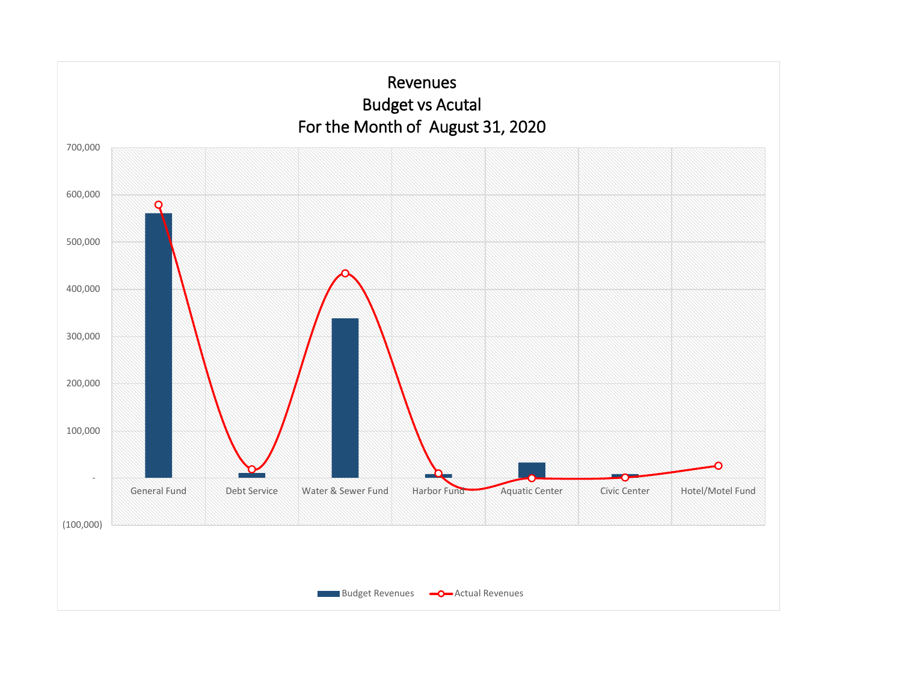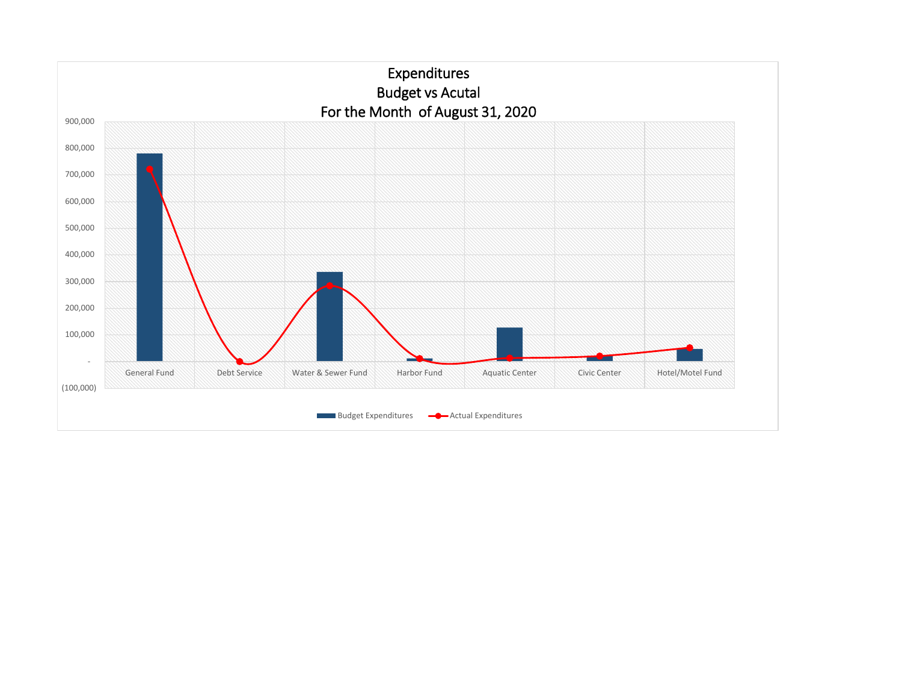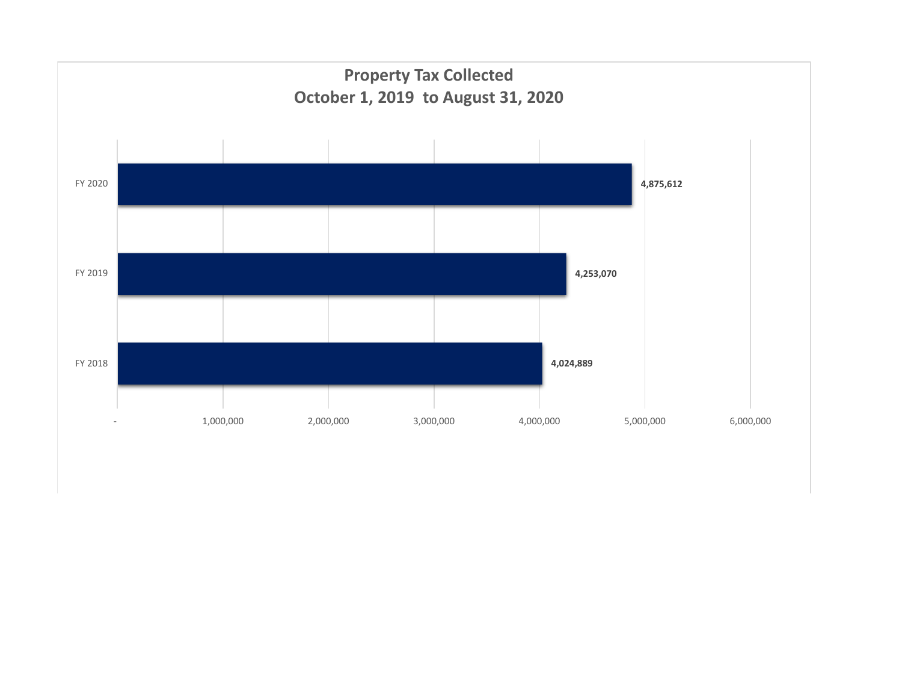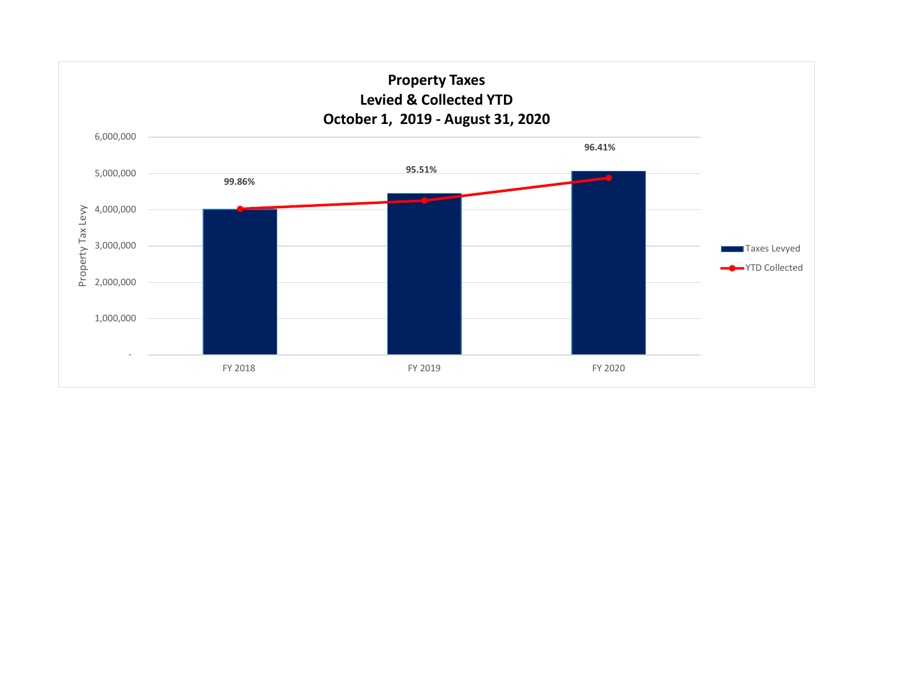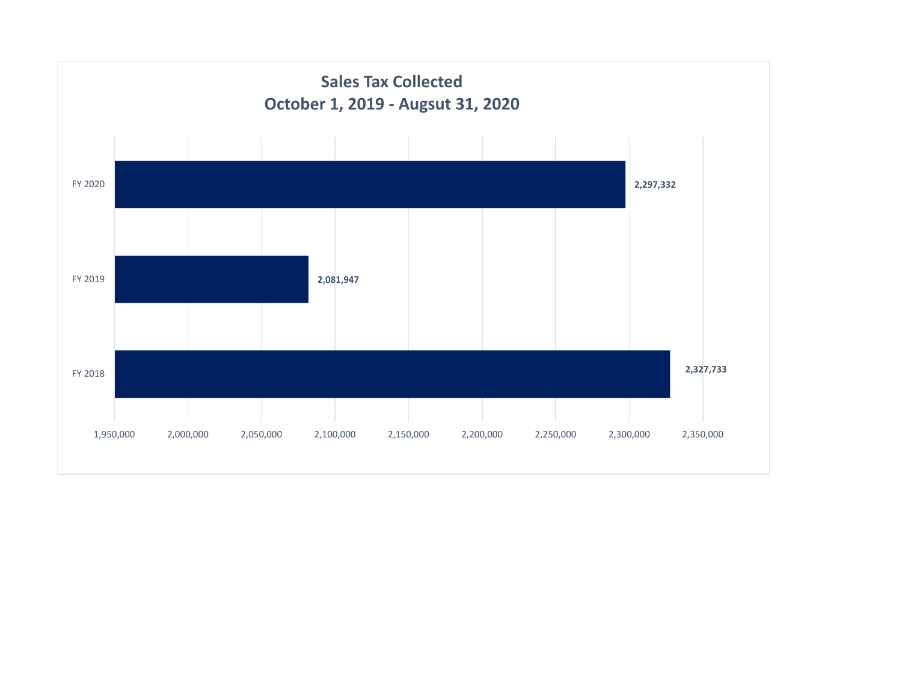